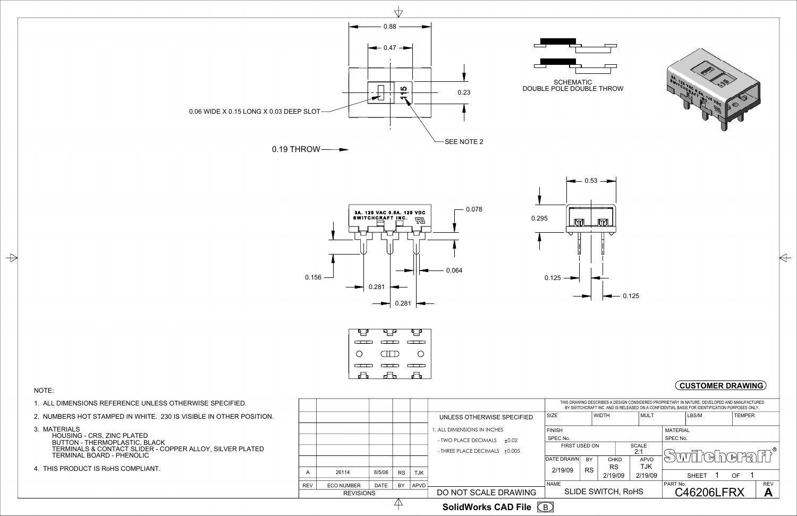





## NOTE:

 $\Rightarrow$ 

- 1. ALL DIMENSIONS REFERENCE UNLESS OTHERWISE SPECIFIED.
- 2. NUMBERS HOT STAMPED IN WHITE. 230 IS VISIBLE IN OTHER POSITION.
- 3. MATERIALS



 HOUSING - CRS, ZINC PLATED BUTTON - THERMOPLASTIC, BLACK TERMINALS & CONTACT SLIDER - COPPER ALLOY, SILVER PLATED TERMINAL BOARD - PHENOLIC

4. THIS PRODUCT IS RoHS COMPLIANT.



B **SolidWorks CAD File**